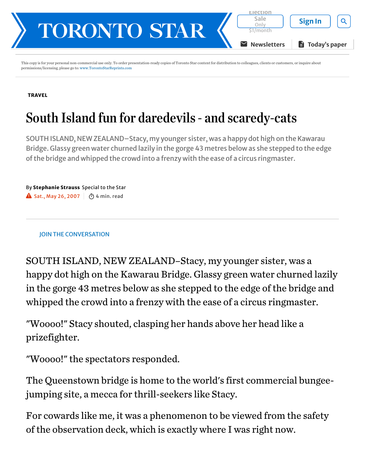

This copy is for your personal non-commercial use only. To order presentation-ready copies of Toronto Star content for distribution to colleagues, clients or customers, or inquire about permissions/licensing, please go to: [www.TorontoStarReprints.com](http://www.torontostarreprints.com/)

## [TRAVEL](https://www.thestar.com/life/travel.html)

## South Island fun for daredevils - and scaredy-cats

SOUTH ISLAND, NEW ZEALAND–Stacy, my younger sister, was a happy dot high on the Kawarau Bridge. Glassy green water churned lazily in the gorge 43 metres below as she stepped to the edge of the bridge and whipped the crowd into a frenzy with the ease of a circus ringmaster.

By Stephanie Strauss Special to the Star  $\blacktriangle$  Sat., May 26, 2007  $\mid \bar{\bm{\odot}}$  4 min. read

## JOIN THE CONVERSATION

SOUTH ISLAND, NEW ZEALAND–Stacy, my younger sister, was a happy dot high on the Kawarau Bridge. Glassy green water churned lazily in the gorge 43 metres below as she stepped to the edge of the bridge and whipped the crowd into a frenzy with the ease of a circus ringmaster.

"Woooo!" Stacy shouted, clasping her hands above her head like a prizefighter.

"Woooo!" the spectators responded.

The Queenstown bridge is home to the world's first commercial bungeejumping site, a mecca for thrill-seekers like Stacy.

For cowards like me, it was a phenomenon to be viewed from the safety of the observation deck, which is exactly where I was right now.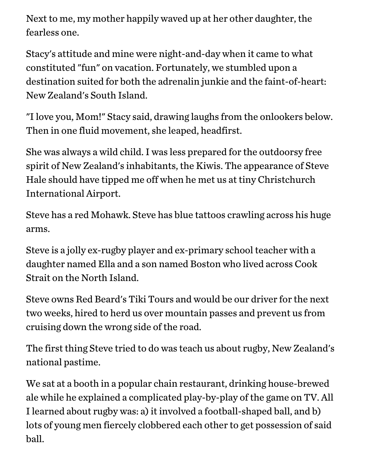Next to me, my mother happily waved up at her other daughter, the fearless one.

Stacy's attitude and mine were night-and-day when it came to what constituted "fun" on vacation. Fortunately, we stumbled upon a destination suited for both the adrenalin junkie and the faint-of-heart: New Zealand's South Island.

"I love you, Mom!" Stacy said, drawing laughs from the onlookers below. Then in one fluid movement, she leaped, headfirst.

She was always a wild child. I was less prepared for the outdoorsy free spirit of New Zealand's inhabitants, the Kiwis. The appearance of Steve Hale should have tipped me off when he met us at tiny Christchurch International Airport.

Steve has a red Mohawk. Steve has blue tattoos crawling across his huge arms.

Steve is a jolly ex-rugby player and ex-primary school teacher with a daughter named Ella and a son named Boston who lived across Cook Strait on the North Island.

Steve owns Red Beard's Tiki Tours and would be our driver for the next two weeks, hired to herd us over mountain passes and prevent us from cruising down the wrong side of the road.

The first thing Steve tried to do was teach us about rugby, New Zealand's national pastime.

We sat at a booth in a popular chain restaurant, drinking house-brewed ale while he explained a complicated play-by-play of the game on TV. All I learned about rugby was: a) it involved a football-shaped ball, and b) lots of young men fiercely clobbered each other to get possession of said ball.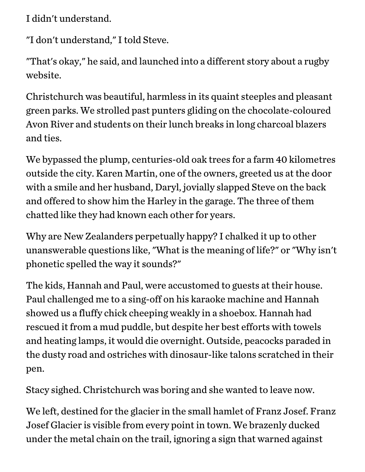I didn't understand.

"I don't understand," I told Steve.

"That's okay," he said, and launched into a different story about a rugby website.

Christchurch was beautiful, harmless in its quaint steeples and pleasant green parks. We strolled past punters gliding on the chocolate-coloured Avon River and students on their lunch breaks in long charcoal blazers and ties.

We bypassed the plump, centuries-old oak trees for a farm 40 kilometres outside the city. Karen Martin, one of the owners, greeted us at the door with a smile and her husband, Daryl, jovially slapped Steve on the back and offered to show him the Harley in the garage. The three of them chatted like they had known each other for years.

Why are New Zealanders perpetually happy? I chalked it up to other unanswerable questions like, "What is the meaning of life?" or "Why isn't phonetic spelled the way it sounds?"

The kids, Hannah and Paul, were accustomed to guests at their house. Paul challenged me to a sing-off on his karaoke machine and Hannah showed us a fluffy chick cheeping weakly in a shoebox. Hannah had rescued it from a mud puddle, but despite her best efforts with towels and heating lamps, it would die overnight. Outside, peacocks paraded in the dusty road and ostriches with dinosaur-like talons scratched in their pen.

Stacy sighed. Christchurch was boring and she wanted to leave now.

We left, destined for the glacier in the small hamlet of Franz Josef. Franz Josef Glacier is visible from every point in town. We brazenly ducked under the metal chain on the trail, ignoring a sign that warned against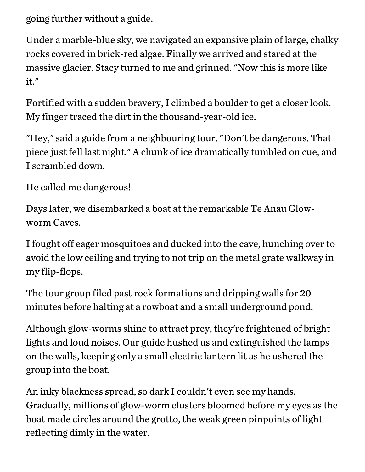going further without a guide.

Under a marble-blue sky, we navigated an expansive plain of large, chalky rocks covered in brick-red algae. Finally we arrived and stared at the massive glacier. Stacy turned to me and grinned. "Now this is more like it."

Fortified with a sudden bravery, I climbed a boulder to get a closer look. My finger traced the dirt in the thousand-year-old ice.

"Hey," said a guide from a neighbouring tour. "Don't be dangerous. That piece just fell last night." A chunk of ice dramatically tumbled on cue, and I scrambled down.

He called me dangerous!

Days later, we disembarked a boat at the remarkable Te Anau Glowworm Caves.

I fought off eager mosquitoes and ducked into the cave, hunching over to avoid the low ceiling and trying to not trip on the metal grate walkway in my flip-flops.

The tour group filed past rock formations and dripping walls for 20 minutes before halting at a rowboat and a small underground pond.

Although glow-worms shine to attract prey, they're frightened of bright lights and loud noises. Our guide hushed us and extinguished the lamps on the walls, keeping only a small electric lantern lit as he ushered the group into the boat.

An inky blackness spread, so dark I couldn't even see my hands. Gradually, millions of glow-worm clusters bloomed before my eyes as the boat made circles around the grotto, the weak green pinpoints of light reflecting dimly in the water.